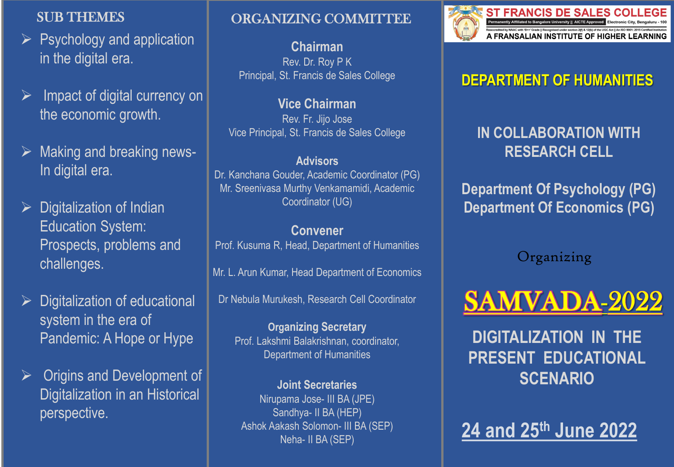## SUB THEMES

- $\triangleright$  Psychology and application in the digital era.
- ➢ Impact of digital currency on the economic growth.
- Making and breaking news-In digital era.
- $\triangleright$  Digitalization of Indian Education System: Prospects, problems and challenges.
- ➢ Digitalization of educational system in the era of Pandemic: A Hope or Hype
- $\triangleright$  Origins and Development of Digitalization in an Historical perspective.

# ORGANIZING COMMITTEE

**Chairman** Rev. Dr. Roy P K Principal, St. Francis de Sales College

**Vice Chairman** Rev. Fr. Jijo Jose Vice Principal, St. Francis de Sales College

### **Advisors**

Dr. Kanchana Gouder, Academic Coordinator (PG) Mr. Sreenivasa Murthy Venkamamidi, Academic Coordinator (UG)

### **Convener**

Prof. Kusuma R, Head, Department of Humanities

Mr. L. Arun Kumar, Head Department of Economics

Dr Nebula Murukesh, Research Cell Coordinator

**Organizing Secretary** Prof. Lakshmi Balakrishnan, coordinator, Department of Humanities

**Joint Secretaries** Nirupama Jose- III BA (JPE) Sandhya- II BA (HEP) Ashok Aakash Solomon- III BA (SEP) Neha- II BA (SEP)



**ST FRANCIS DE SALES COLLEGE** Permanently Affiliated to Bangalore University || AICTE Approved Electronic City, Bengaluru - 100 Rescription by MAAC with 19+1' Grade || Recognised under section 2(1) & 12(b) of the UGC Act || An ISO 9001: 2015 Certified Institution<br>A FRANSALIAN INSTITUTE OF HIGHER LEARNING

# **DEPARTMENT OF HUMANITIES**

**IN COLLABORATION WITH RESEARCH CELL**

**Department Of Psychology (PG) Department Of Economics (PG)**

Organizing



**DIGITALIZATION IN THE PRESENT EDUCATIONAL SCENARIO**

**24 and 25th June 2022**